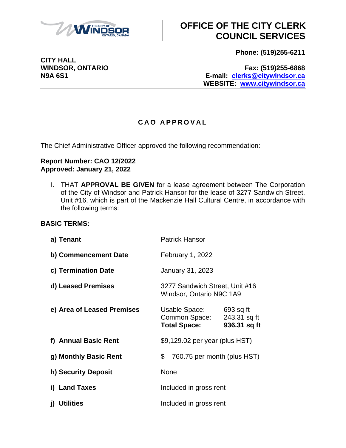

**CITY HALL**

# **OFFICE OF THE CITY CLERK COUNCIL SERVICES**

**Phone: (519)255-6211**

**WINDSOR, ONTARIO Fax: (519)255-6868 N9A 6S1 E-mail: [clerks@citywindsor.ca](mailto:clerks@citywindsor.ca) WEBSITE: [www.citywindsor.ca](http://www.citywindsor.ca/)**

#### **C A O A P P R O V A L**

The Chief Administrative Officer approved the following recommendation:

#### **Report Number: CAO 12/2022 Approved: January 21, 2022**

I. THAT **APPROVAL BE GIVEN** for a lease agreement between The Corporation of the City of Windsor and Patrick Hansor for the lease of 3277 Sandwich Street, Unit #16, which is part of the Mackenzie Hall Cultural Centre, in accordance with the following terms:

#### **BASIC TERMS:**

| a) Tenant                  | <b>Patrick Hansor</b>                                      |                                           |
|----------------------------|------------------------------------------------------------|-------------------------------------------|
| b) Commencement Date       | <b>February 1, 2022</b>                                    |                                           |
| c) Termination Date        | January 31, 2023                                           |                                           |
| d) Leased Premises         | 3277 Sandwich Street, Unit #16<br>Windsor, Ontario N9C 1A9 |                                           |
| e) Area of Leased Premises | Usable Space:<br>Common Space:<br><b>Total Space:</b>      | 693 sq ft<br>243.31 sq ft<br>936.31 sq ft |
| f) Annual Basic Rent       | \$9,129.02 per year (plus HST)                             |                                           |
| g) Monthly Basic Rent      | \$<br>760.75 per month (plus HST)                          |                                           |
| h) Security Deposit        | None                                                       |                                           |
| i) Land Taxes              | Included in gross rent                                     |                                           |
| <b>Utilities</b><br>j)     | Included in gross rent                                     |                                           |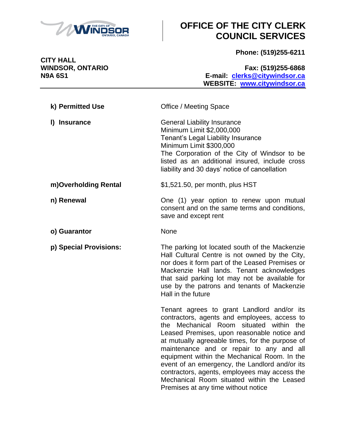

# **OFFICE OF THE CITY CLERK COUNCIL SERVICES**

**Phone: (519)255-6211**

**CITY HALL<br>WINDSOR, ONTARIO** 

**WINDSOR, ONTARIO Fax: (519)255-6868 N9A 6S1 E-mail: [clerks@citywindsor.ca](mailto:clerks@citywindsor.ca) WEBSITE: [www.citywindsor.ca](http://www.citywindsor.ca/)**

| k) Permitted Use       | <b>Office / Meeting Space</b>                                                                                                                                                                                                                                                                                                                                                                                                                                                                                                  |
|------------------------|--------------------------------------------------------------------------------------------------------------------------------------------------------------------------------------------------------------------------------------------------------------------------------------------------------------------------------------------------------------------------------------------------------------------------------------------------------------------------------------------------------------------------------|
| I) Insurance           | <b>General Liability Insurance</b><br>Minimum Limit \$2,000,000<br>Tenant's Legal Liability Insurance<br>Minimum Limit \$300,000<br>The Corporation of the City of Windsor to be<br>listed as an additional insured, include cross<br>liability and 30 days' notice of cancellation                                                                                                                                                                                                                                            |
| m)Overholding Rental   | \$1,521.50, per month, plus HST                                                                                                                                                                                                                                                                                                                                                                                                                                                                                                |
| n) Renewal             | One (1) year option to renew upon mutual<br>consent and on the same terms and conditions,<br>save and except rent                                                                                                                                                                                                                                                                                                                                                                                                              |
| o) Guarantor           | None                                                                                                                                                                                                                                                                                                                                                                                                                                                                                                                           |
| p) Special Provisions: | The parking lot located south of the Mackenzie<br>Hall Cultural Centre is not owned by the City,<br>nor does it form part of the Leased Premises or<br>Mackenzie Hall lands. Tenant acknowledges<br>that said parking lot may not be available for<br>use by the patrons and tenants of Mackenzie<br>Hall in the future                                                                                                                                                                                                        |
|                        | Tenant agrees to grant Landlord and/or its<br>contractors, agents and employees, access to<br>Mechanical Room situated within the<br>the<br>Leased Premises, upon reasonable notice and<br>at mutually agreeable times, for the purpose of<br>maintenance and or repair to any and all<br>equipment within the Mechanical Room. In the<br>event of an emergency, the Landlord and/or its<br>contractors, agents, employees may access the<br>Mechanical Room situated within the Leased<br>Premises at any time without notice |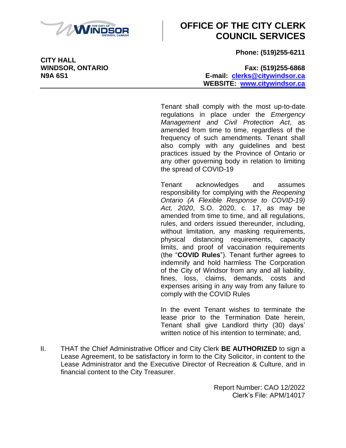

## **OFFICE OF THE CITY CLERK COUNCIL SERVICES**

**Phone: (519)255-6211**

**WINDSOR, ONTARIO Fax: (519)255-6868 N9A 6S1 E-mail: [clerks@citywindsor.ca](mailto:clerks@citywindsor.ca) WEBSITE: [www.citywindsor.ca](http://www.citywindsor.ca/)**

> Tenant shall comply with the most up-to-date regulations in place under the *Emergency Management and Civil Protection Act*, as amended from time to time, regardless of the frequency of such amendments. Tenant shall also comply with any guidelines and best practices issued by the Province of Ontario or any other governing body in relation to limiting the spread of COVID-19

> Tenant acknowledges and assumes responsibility for complying with the *Reopening Ontario (A Flexible Response to COVID-19) Act, 2020*, S.O. 2020, c. 17, as may be amended from time to time, and all regulations, rules, and orders issued thereunder, including, without limitation, any masking requirements, physical distancing requirements, capacity limits, and proof of vaccination requirements (the "**COVID Rules**"). Tenant further agrees to indemnify and hold harmless The Corporation of the City of Windsor from any and all liability, fines, loss, claims, demands, costs and expenses arising in any way from any failure to comply with the COVID Rules

> In the event Tenant wishes to terminate the lease prior to the Termination Date herein, Tenant shall give Landlord thirty (30) days' written notice of his intention to terminate; and,

II. THAT the Chief Administrative Officer and City Clerk **BE AUTHORIZED** to sign a Lease Agreement, to be satisfactory in form to the City Solicitor, in content to the Lease Administrator and the Executive Director of Recreation & Culture, and in financial content to the City Treasurer.

> Report Number: CAO 12/2022 Clerk's File: APM/14017

**CITY HALL**